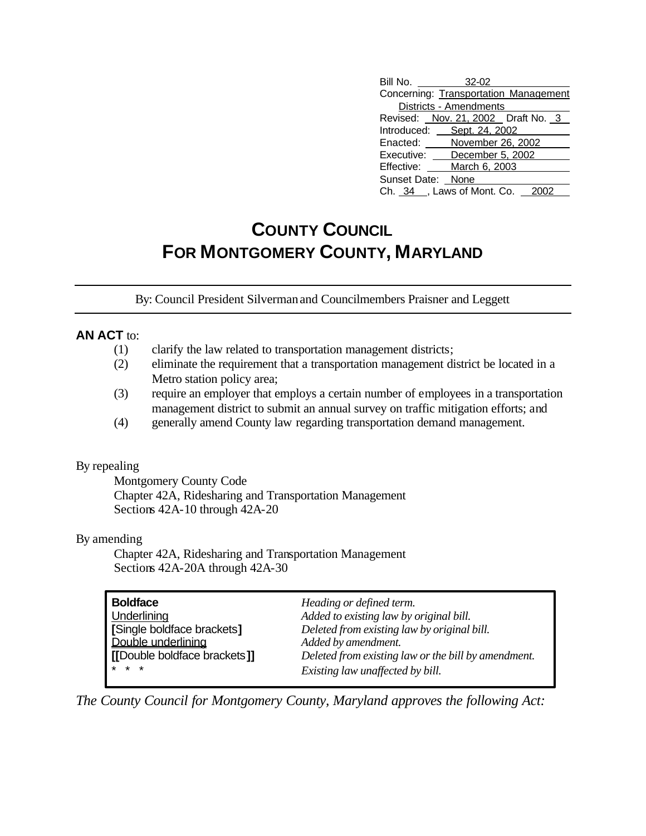| Bill No. 32-02                        |                        |  |
|---------------------------------------|------------------------|--|
| Concerning: Transportation Management |                        |  |
|                                       | Districts - Amendments |  |
| Revised: Nov. 21, 2002 Draft No. 3    |                        |  |
| Introduced: Sept. 24, 2002            |                        |  |
| Enacted: November 26, 2002            |                        |  |
| Executive: December 5, 2002           |                        |  |
| Effective:                            | March 6, 2003          |  |
| Sunset Date: None                     |                        |  |
| Ch. 34 _, Laws of Mont. Co. 2002      |                        |  |

# **COUNTY COUNCIL FOR MONTGOMERY COUNTY, MARYLAND**

By: Council President Silverman and Councilmembers Praisner and Leggett

## **AN ACT** to:

- (1) clarify the law related to transportation management districts;
- (2) eliminate the requirement that a transportation management district be located in a Metro station policy area;
- (3) require an employer that employs a certain number of employees in a transportation management district to submit an annual survey on traffic mitigation efforts; and
- (4) generally amend County law regarding transportation demand management.

#### By repealing

Montgomery County Code Chapter 42A, Ridesharing and Transportation Management Sections 42A-10 through 42A-20

#### By amending

Chapter 42A, Ridesharing and Transportation Management Sections 42A-20A through 42A-30

| <b>Boldface</b>              | Heading or defined term.                            |
|------------------------------|-----------------------------------------------------|
| Underlining                  | Added to existing law by original bill.             |
| [Single boldface brackets]   | Deleted from existing law by original bill.         |
| Double underlining           | Added by amendment.                                 |
| [[Double boldface brackets]] | Deleted from existing law or the bill by amendment. |
| $* * *$                      | Existing law unaffected by bill.                    |

*The County Council for Montgomery County, Maryland approves the following Act:*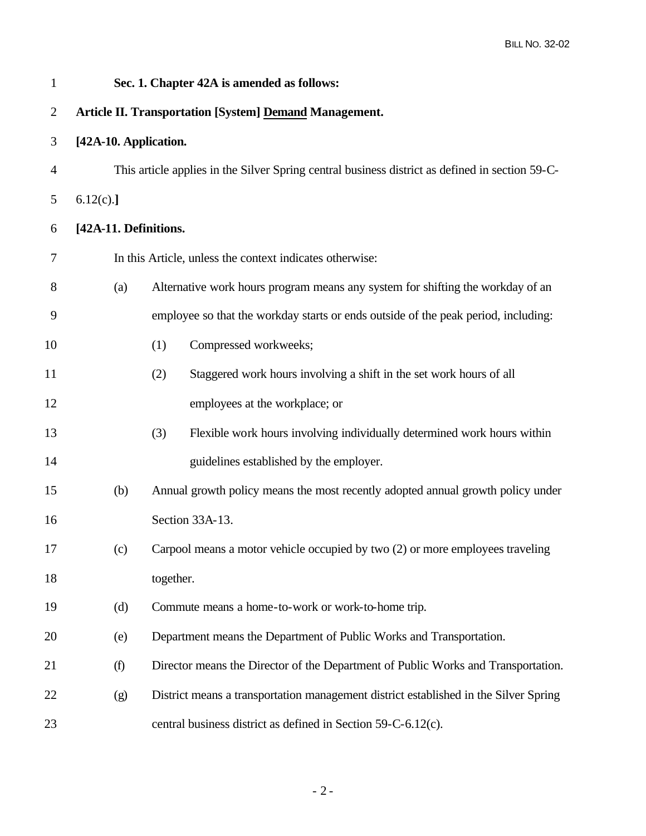| $\mathbf{1}$   |                                                               | Sec. 1. Chapter 42A is amended as follows:                                                      |  |  |  |  |  |
|----------------|---------------------------------------------------------------|-------------------------------------------------------------------------------------------------|--|--|--|--|--|
| $\overline{2}$ | <b>Article II. Transportation [System] Demand Management.</b> |                                                                                                 |  |  |  |  |  |
| 3              | [42A-10. Application.                                         |                                                                                                 |  |  |  |  |  |
| 4              |                                                               | This article applies in the Silver Spring central business district as defined in section 59-C- |  |  |  |  |  |
| 5              | 6.12(c).                                                      |                                                                                                 |  |  |  |  |  |
| 6              | [42A-11. Definitions.                                         |                                                                                                 |  |  |  |  |  |
| 7              |                                                               | In this Article, unless the context indicates otherwise:                                        |  |  |  |  |  |
| 8              | (a)                                                           | Alternative work hours program means any system for shifting the workday of an                  |  |  |  |  |  |
| 9              |                                                               | employee so that the workday starts or ends outside of the peak period, including:              |  |  |  |  |  |
| 10             |                                                               | Compressed workweeks;<br>(1)                                                                    |  |  |  |  |  |
| 11             |                                                               | (2)<br>Staggered work hours involving a shift in the set work hours of all                      |  |  |  |  |  |
| 12             |                                                               | employees at the workplace; or                                                                  |  |  |  |  |  |
| 13             |                                                               | Flexible work hours involving individually determined work hours within<br>(3)                  |  |  |  |  |  |
| 14             |                                                               | guidelines established by the employer.                                                         |  |  |  |  |  |
| 15             | (b)                                                           | Annual growth policy means the most recently adopted annual growth policy under                 |  |  |  |  |  |
| 16             |                                                               | Section 33A-13.                                                                                 |  |  |  |  |  |
| 17             | (c)                                                           | Carpool means a motor vehicle occupied by two (2) or more employees traveling                   |  |  |  |  |  |
| 18             |                                                               | together.                                                                                       |  |  |  |  |  |
| 19             | (d)                                                           | Commute means a home-to-work or work-to-home trip.                                              |  |  |  |  |  |
| 20             | (e)                                                           | Department means the Department of Public Works and Transportation.                             |  |  |  |  |  |
| 21             | (f)                                                           | Director means the Director of the Department of Public Works and Transportation.               |  |  |  |  |  |
| 22             | (g)                                                           | District means a transportation management district established in the Silver Spring            |  |  |  |  |  |
| 23             |                                                               | central business district as defined in Section 59-C-6.12(c).                                   |  |  |  |  |  |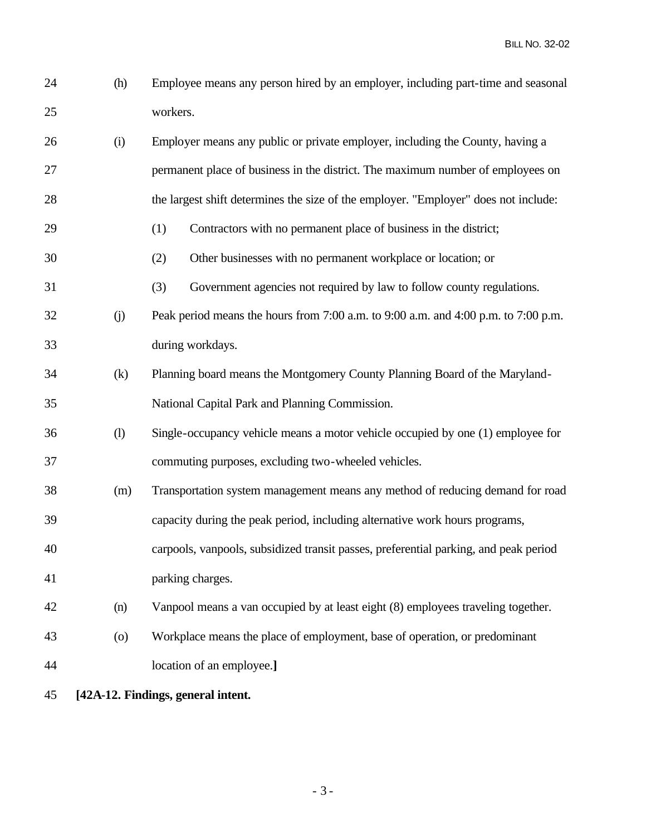(h) Employee means any person hired by an employer, including part-time and seasonal workers.

| 26 | (i)                | Employer means any public or private employer, including the County, having a        |
|----|--------------------|--------------------------------------------------------------------------------------|
| 27 |                    | permanent place of business in the district. The maximum number of employees on      |
| 28 |                    | the largest shift determines the size of the employer. "Employer" does not include:  |
| 29 |                    | (1)<br>Contractors with no permanent place of business in the district;              |
| 30 |                    | (2)<br>Other businesses with no permanent workplace or location; or                  |
| 31 |                    | (3)<br>Government agencies not required by law to follow county regulations.         |
| 32 | (j)                | Peak period means the hours from 7:00 a.m. to 9:00 a.m. and 4:00 p.m. to 7:00 p.m.   |
| 33 |                    | during workdays.                                                                     |
| 34 | (k)                | Planning board means the Montgomery County Planning Board of the Maryland-           |
| 35 |                    | National Capital Park and Planning Commission.                                       |
| 36 | (1)                | Single-occupancy vehicle means a motor vehicle occupied by one (1) employee for      |
| 37 |                    | commuting purposes, excluding two-wheeled vehicles.                                  |
| 38 | (m)                | Transportation system management means any method of reducing demand for road        |
| 39 |                    | capacity during the peak period, including alternative work hours programs,          |
| 40 |                    | carpools, vanpools, subsidized transit passes, preferential parking, and peak period |
| 41 |                    | parking charges.                                                                     |
| 42 | (n)                | Vanpool means a van occupied by at least eight (8) employees traveling together.     |
| 43 | $\left( 0 \right)$ | Workplace means the place of employment, base of operation, or predominant           |
|    |                    |                                                                                      |

- location of an employee.**]**
- **[42A-12. Findings, general intent.**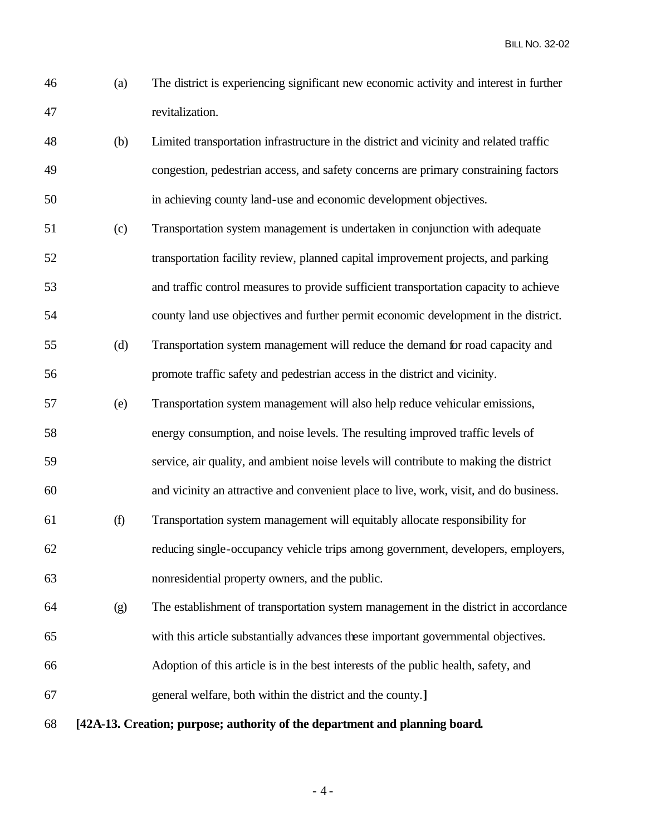- (a) The district is experiencing significant new economic activity and interest in further revitalization.
	- (b) Limited transportation infrastructure in the district and vicinity and related traffic congestion, pedestrian access, and safety concerns are primary constraining factors in achieving county land-use and economic development objectives.
	- (c) Transportation system management is undertaken in conjunction with adequate transportation facility review, planned capital improvement projects, and parking and traffic control measures to provide sufficient transportation capacity to achieve county land use objectives and further permit economic development in the district.
	- (d) Transportation system management will reduce the demand for road capacity and promote traffic safety and pedestrian access in the district and vicinity.
	- (e) Transportation system management will also help reduce vehicular emissions,
	- energy consumption, and noise levels. The resulting improved traffic levels of
	- service, air quality, and ambient noise levels will contribute to making the district
	- and vicinity an attractive and convenient place to live, work, visit, and do business.
	- (f) Transportation system management will equitably allocate responsibility for reducing single-occupancy vehicle trips among government, developers, employers, nonresidential property owners, and the public.
	- (g) The establishment of transportation system management in the district in accordance with this article substantially advances these important governmental objectives.
	- Adoption of this article is in the best interests of the public health, safety, and
	- general welfare, both within the district and the county.**]**
	- **[42A-13. Creation; purpose; authority of the department and planning board.**

- 4 -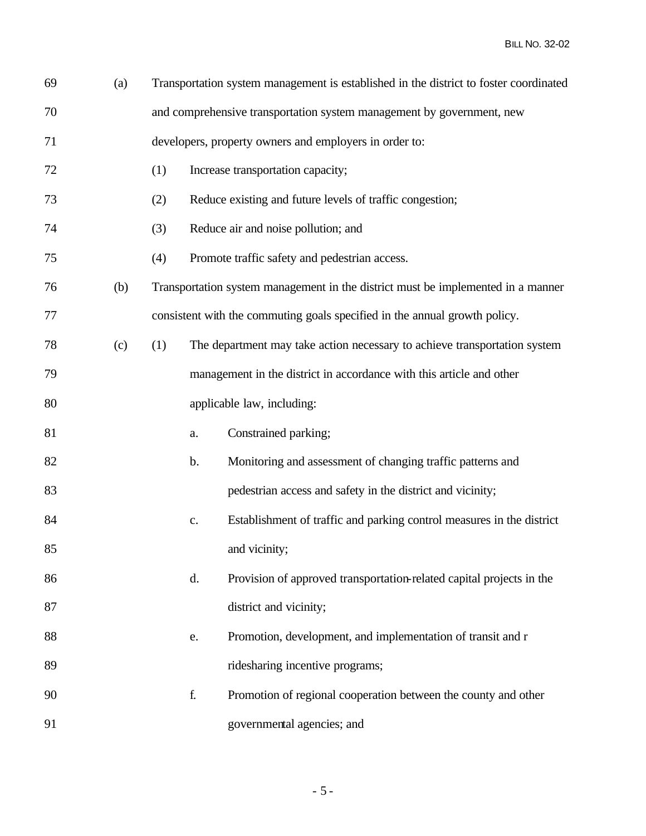| 69 | (a) |     |                                                                       | Transportation system management is established in the district to foster coordinated |  |  |
|----|-----|-----|-----------------------------------------------------------------------|---------------------------------------------------------------------------------------|--|--|
| 70 |     |     | and comprehensive transportation system management by government, new |                                                                                       |  |  |
| 71 |     |     |                                                                       | developers, property owners and employers in order to:                                |  |  |
| 72 |     | (1) |                                                                       | Increase transportation capacity;                                                     |  |  |
| 73 |     | (2) |                                                                       | Reduce existing and future levels of traffic congestion;                              |  |  |
| 74 |     | (3) |                                                                       | Reduce air and noise pollution; and                                                   |  |  |
| 75 |     | (4) |                                                                       | Promote traffic safety and pedestrian access.                                         |  |  |
| 76 | (b) |     |                                                                       | Transportation system management in the district must be implemented in a manner      |  |  |
| 77 |     |     |                                                                       | consistent with the commuting goals specified in the annual growth policy.            |  |  |
| 78 | (c) | (1) |                                                                       | The department may take action necessary to achieve transportation system             |  |  |
| 79 |     |     |                                                                       | management in the district in accordance with this article and other                  |  |  |
| 80 |     |     |                                                                       | applicable law, including:                                                            |  |  |
| 81 |     |     | a.                                                                    | Constrained parking;                                                                  |  |  |
| 82 |     |     | b.                                                                    | Monitoring and assessment of changing traffic patterns and                            |  |  |
| 83 |     |     |                                                                       | pedestrian access and safety in the district and vicinity;                            |  |  |
| 84 |     |     | $\mathbf{c}$ .                                                        | Establishment of traffic and parking control measures in the district                 |  |  |
| 85 |     |     |                                                                       | and vicinity;                                                                         |  |  |
| 86 |     |     | d.                                                                    | Provision of approved transportation-related capital projects in the                  |  |  |
| 87 |     |     |                                                                       | district and vicinity;                                                                |  |  |
| 88 |     |     | e.                                                                    | Promotion, development, and implementation of transit and r                           |  |  |
| 89 |     |     |                                                                       | ridesharing incentive programs;                                                       |  |  |
| 90 |     |     | f.                                                                    | Promotion of regional cooperation between the county and other                        |  |  |
| 91 |     |     |                                                                       | governmental agencies; and                                                            |  |  |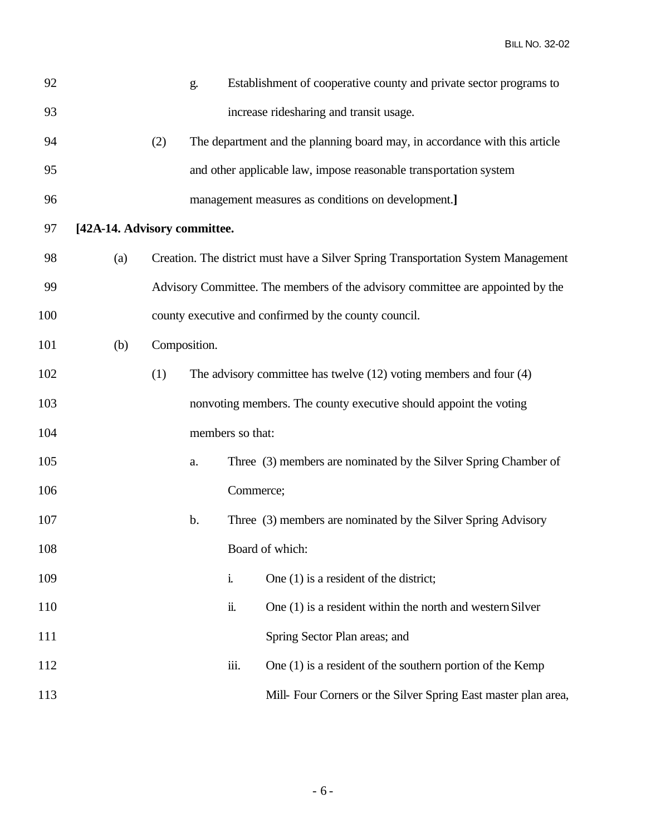| 92  |                              |     | g.           |                  | Establishment of cooperative county and private sector programs to                |
|-----|------------------------------|-----|--------------|------------------|-----------------------------------------------------------------------------------|
| 93  |                              |     |              |                  | increase ridesharing and transit usage.                                           |
| 94  |                              | (2) |              |                  | The department and the planning board may, in accordance with this article        |
| 95  |                              |     |              |                  | and other applicable law, impose reasonable transportation system                 |
| 96  |                              |     |              |                  | management measures as conditions on development.]                                |
| 97  | [42A-14. Advisory committee. |     |              |                  |                                                                                   |
| 98  | (a)                          |     |              |                  | Creation. The district must have a Silver Spring Transportation System Management |
| 99  |                              |     |              |                  | Advisory Committee. The members of the advisory committee are appointed by the    |
| 100 |                              |     |              |                  | county executive and confirmed by the county council.                             |
| 101 | (b)                          |     | Composition. |                  |                                                                                   |
| 102 |                              | (1) |              |                  | The advisory committee has twelve $(12)$ voting members and four $(4)$            |
| 103 |                              |     |              |                  | nonvoting members. The county executive should appoint the voting                 |
| 104 |                              |     |              | members so that: |                                                                                   |
| 105 |                              |     | a.           |                  | Three (3) members are nominated by the Silver Spring Chamber of                   |
| 106 |                              |     |              | Commerce;        |                                                                                   |
| 107 |                              |     | b.           |                  | Three (3) members are nominated by the Silver Spring Advisory                     |
| 108 |                              |     |              |                  | Board of which:                                                                   |
| 109 |                              |     |              | i.               | One $(1)$ is a resident of the district;                                          |
| 110 |                              |     |              | ii.              | One (1) is a resident within the north and western Silver                         |
| 111 |                              |     |              |                  | Spring Sector Plan areas; and                                                     |
| 112 |                              |     |              | iii.             | One $(1)$ is a resident of the southern portion of the Kemp                       |
| 113 |                              |     |              |                  | Mill- Four Corners or the Silver Spring East master plan area,                    |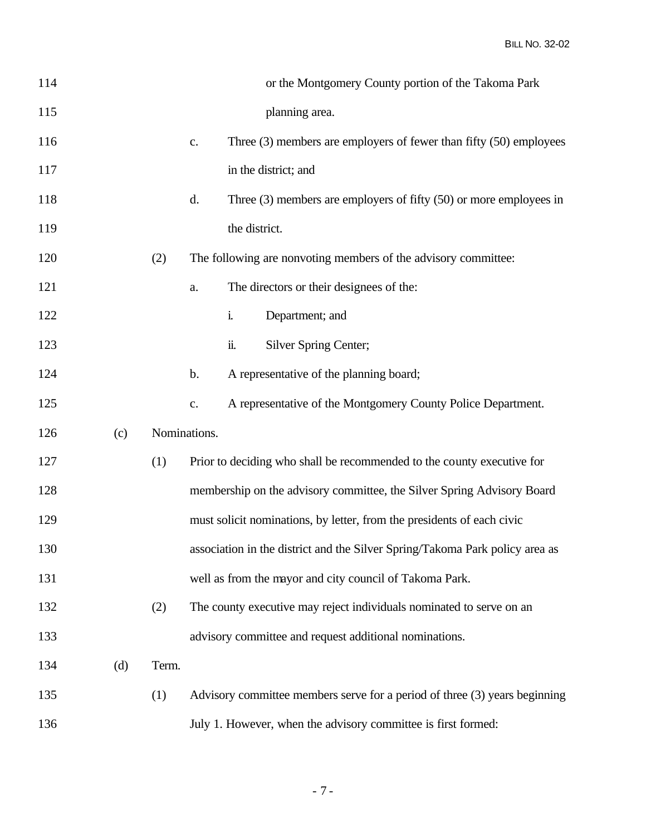| 114 |     |              |                | or the Montgomery County portion of the Takoma Park                          |
|-----|-----|--------------|----------------|------------------------------------------------------------------------------|
| 115 |     |              |                | planning area.                                                               |
| 116 |     |              | $\mathbf{c}$ . | Three $(3)$ members are employers of fewer than fifty $(50)$ employees       |
| 117 |     |              |                | in the district; and                                                         |
| 118 |     |              | d.             | Three $(3)$ members are employers of fifty $(50)$ or more employees in       |
| 119 |     |              |                | the district.                                                                |
| 120 |     | (2)          |                | The following are nonvoting members of the advisory committee:               |
| 121 |     |              | a.             | The directors or their designees of the:                                     |
| 122 |     |              |                | i.<br>Department; and                                                        |
| 123 |     |              |                | ii.<br>Silver Spring Center;                                                 |
| 124 |     |              | b.             | A representative of the planning board;                                      |
| 125 |     |              | c.             | A representative of the Montgomery County Police Department.                 |
| 126 | (c) | Nominations. |                |                                                                              |
| 127 |     | (1)          |                | Prior to deciding who shall be recommended to the county executive for       |
| 128 |     |              |                | membership on the advisory committee, the Silver Spring Advisory Board       |
| 129 |     |              |                | must solicit nominations, by letter, from the presidents of each civic       |
| 130 |     |              |                | association in the district and the Silver Spring/Takoma Park policy area as |
| 131 |     |              |                | well as from the mayor and city council of Takoma Park.                      |
| 132 |     | (2)          |                | The county executive may reject individuals nominated to serve on an         |
| 133 |     |              |                | advisory committee and request additional nominations.                       |
| 134 | (d) | Term.        |                |                                                                              |
| 135 |     | (1)          |                | Advisory committee members serve for a period of three (3) years beginning   |
| 136 |     |              |                | July 1. However, when the advisory committee is first formed:                |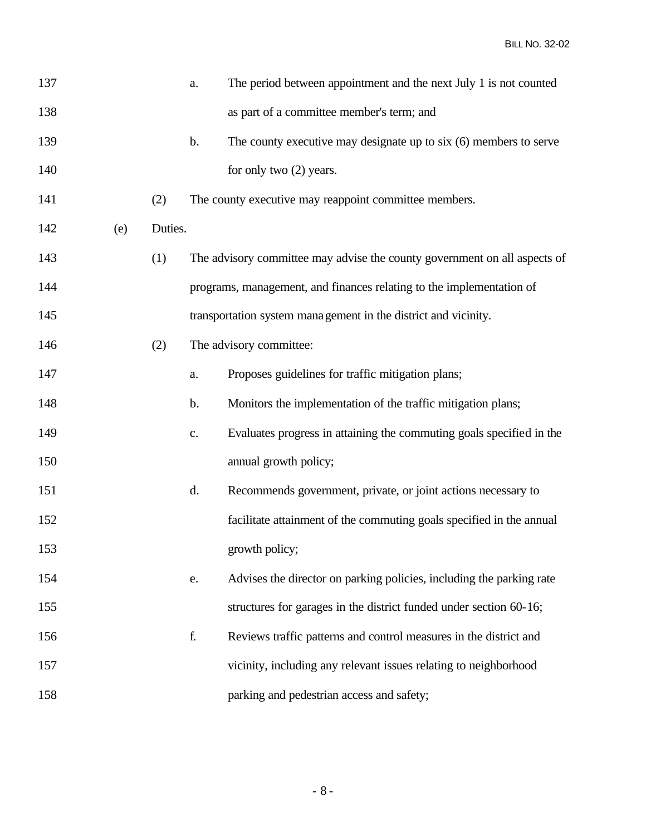| 137 |     |         | a.            | The period between appointment and the next July 1 is not counted         |
|-----|-----|---------|---------------|---------------------------------------------------------------------------|
| 138 |     |         |               | as part of a committee member's term; and                                 |
| 139 |     |         | $\mathbf b$ . | The county executive may designate up to $s$ ix $(6)$ members to serve    |
| 140 |     |         |               | for only two (2) years.                                                   |
| 141 |     | (2)     |               | The county executive may reappoint committee members.                     |
| 142 | (e) | Duties. |               |                                                                           |
| 143 |     | (1)     |               | The advisory committee may advise the county government on all aspects of |
| 144 |     |         |               | programs, management, and finances relating to the implementation of      |
| 145 |     |         |               | transportation system management in the district and vicinity.            |
| 146 |     | (2)     |               | The advisory committee:                                                   |
| 147 |     |         | a.            | Proposes guidelines for traffic mitigation plans;                         |
| 148 |     |         | $\mathbf b$ . | Monitors the implementation of the traffic mitigation plans;              |
| 149 |     |         | $\mathbf{c}.$ | Evaluates progress in attaining the commuting goals specified in the      |
| 150 |     |         |               | annual growth policy;                                                     |
| 151 |     |         | d.            | Recommends government, private, or joint actions necessary to             |
| 152 |     |         |               | facilitate attainment of the commuting goals specified in the annual      |
| 153 |     |         |               | growth policy;                                                            |
| 154 |     |         | e.            | Advises the director on parking policies, including the parking rate      |
| 155 |     |         |               | structures for garages in the district funded under section 60-16;        |
| 156 |     |         | f.            | Reviews traffic patterns and control measures in the district and         |
| 157 |     |         |               | vicinity, including any relevant issues relating to neighborhood          |
| 158 |     |         |               | parking and pedestrian access and safety;                                 |
|     |     |         |               |                                                                           |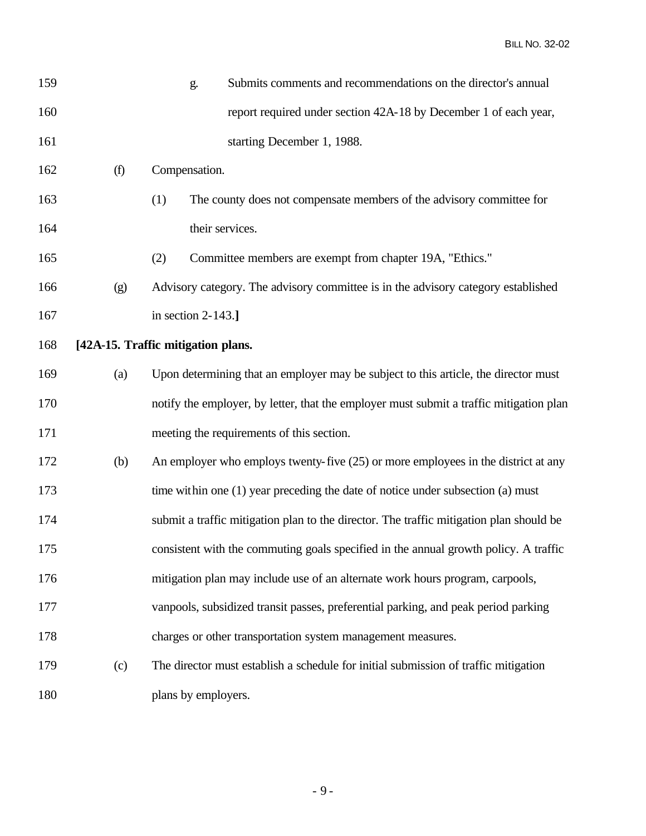| 159 |     | g.                                 | Submits comments and recommendations on the director's annual                           |
|-----|-----|------------------------------------|-----------------------------------------------------------------------------------------|
| 160 |     |                                    | report required under section 42A-18 by December 1 of each year,                        |
| 161 |     |                                    | starting December 1, 1988.                                                              |
| 162 | (f) | Compensation.                      |                                                                                         |
| 163 |     | (1)                                | The county does not compensate members of the advisory committee for                    |
| 164 |     | their services.                    |                                                                                         |
| 165 |     | (2)                                | Committee members are exempt from chapter 19A, "Ethics."                                |
| 166 | (g) |                                    | Advisory category. The advisory committee is in the advisory category established       |
| 167 |     | in section $2-143$ .]              |                                                                                         |
| 168 |     | [42A-15. Traffic mitigation plans. |                                                                                         |
| 169 | (a) |                                    | Upon determining that an employer may be subject to this article, the director must     |
| 170 |     |                                    | notify the employer, by letter, that the employer must submit a traffic mitigation plan |
| 171 |     |                                    | meeting the requirements of this section.                                               |
| 172 | (b) |                                    | An employer who employs twenty-five (25) or more employees in the district at any       |
| 173 |     |                                    | time within one (1) year preceding the date of notice under subsection (a) must         |
| 174 |     |                                    | submit a traffic mitigation plan to the director. The traffic mitigation plan should be |
| 175 |     |                                    | consistent with the commuting goals specified in the annual growth policy. A traffic    |
| 176 |     |                                    | mitigation plan may include use of an alternate work hours program, carpools,           |
| 177 |     |                                    | vanpools, subsidized transit passes, preferential parking, and peak period parking      |
| 178 |     |                                    | charges or other transportation system management measures.                             |
| 179 | (c) |                                    | The director must establish a schedule for initial submission of traffic mitigation     |
| 180 |     | plans by employers.                |                                                                                         |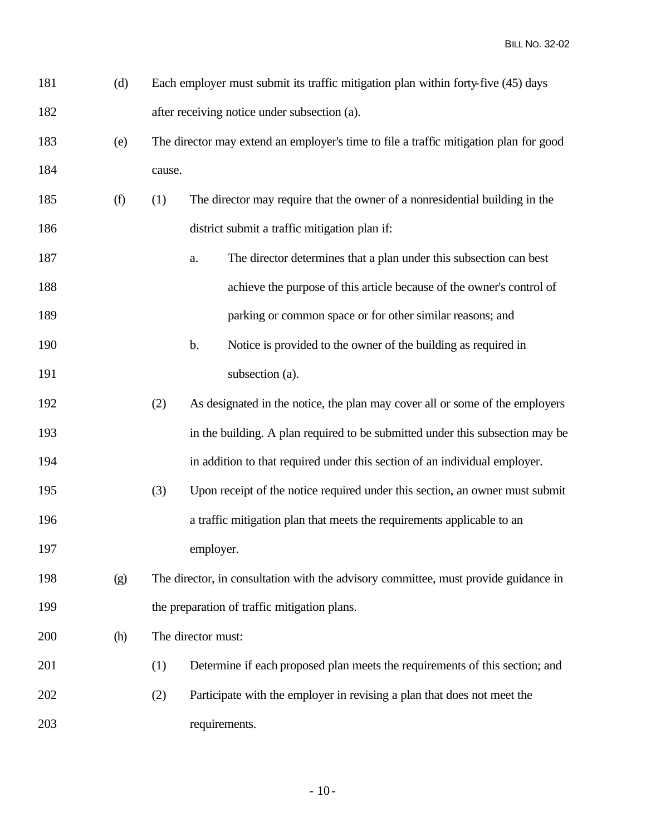| 181 | Each employer must submit its traffic mitigation plan within forty-five (45) days |
|-----|-----------------------------------------------------------------------------------|
| 182 | after receiving notice under subsection (a).                                      |

- (e) The director may extend an employer's time to file a traffic mitigation plan for good cause.
- (f) (1) The director may require that the owner of a nonresidential building in the district submit a traffic mitigation plan if:
- a. The director determines that a plan under this subsection can best achieve the purpose of this article because of the owner's control of **parking or common space or for other similar reasons; and**
- b. Notice is provided to the owner of the building as required in 191 subsection (a).
- (2) As designated in the notice, the plan may cover all or some of the employers in the building. A plan required to be submitted under this subsection may be in addition to that required under this section of an individual employer.
- (3) Upon receipt of the notice required under this section, an owner must submit a traffic mitigation plan that meets the requirements applicable to an employer.
- (g) The director, in consultation with the advisory committee, must provide guidance in 199 the preparation of traffic mitigation plans.
- (h) The director must:
- (1) Determine if each proposed plan meets the requirements of this section; and
- (2) Participate with the employer in revising a plan that does not meet the requirements.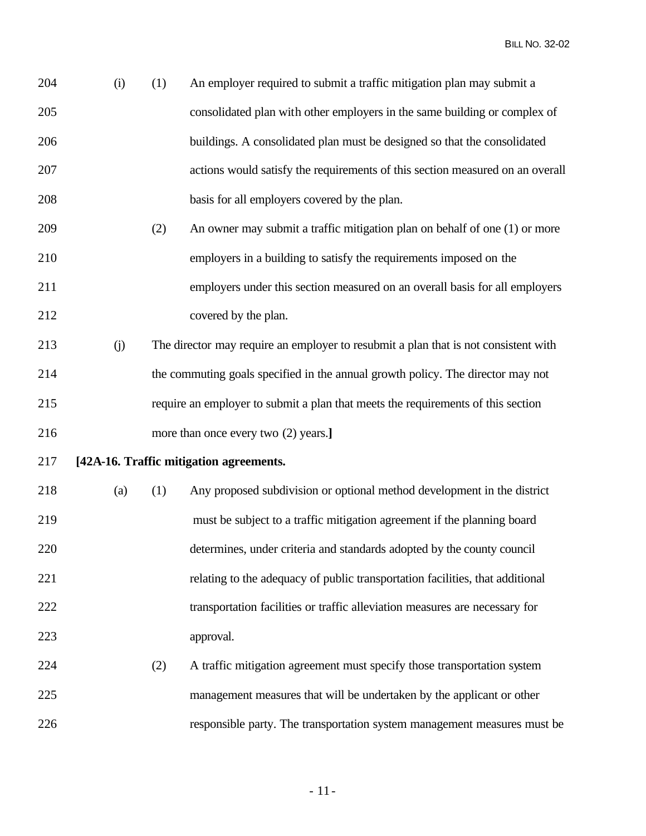| 204 | (i) | (1) | An employer required to submit a traffic mitigation plan may submit a               |
|-----|-----|-----|-------------------------------------------------------------------------------------|
| 205 |     |     | consolidated plan with other employers in the same building or complex of           |
| 206 |     |     | buildings. A consolidated plan must be designed so that the consolidated            |
| 207 |     |     | actions would satisfy the requirements of this section measured on an overall       |
| 208 |     |     | basis for all employers covered by the plan.                                        |
| 209 |     | (2) | An owner may submit a traffic mitigation plan on behalf of one (1) or more          |
| 210 |     |     | employers in a building to satisfy the requirements imposed on the                  |
| 211 |     |     | employers under this section measured on an overall basis for all employers         |
| 212 |     |     | covered by the plan.                                                                |
| 213 | (j) |     | The director may require an employer to resubmit a plan that is not consistent with |
| 214 |     |     | the commuting goals specified in the annual growth policy. The director may not     |
| 215 |     |     | require an employer to submit a plan that meets the requirements of this section    |
| 216 |     |     | more than once every two (2) years.]                                                |
| 217 |     |     | [42A-16. Traffic mitigation agreements.                                             |
| 218 | (a) | (1) | Any proposed subdivision or optional method development in the district             |
| 219 |     |     | must be subject to a traffic mitigation agreement if the planning board             |
| 220 |     |     | determines, under criteria and standards adopted by the county council              |
| 221 |     |     | relating to the adequacy of public transportation facilities, that additional       |
| 222 |     |     | transportation facilities or traffic alleviation measures are necessary for         |
| 223 |     |     | approval.                                                                           |
| 224 |     | (2) | A traffic mitigation agreement must specify those transportation system             |
| 225 |     |     | management measures that will be undertaken by the applicant or other               |
| 226 |     |     | responsible party. The transportation system management measures must be            |

- 11-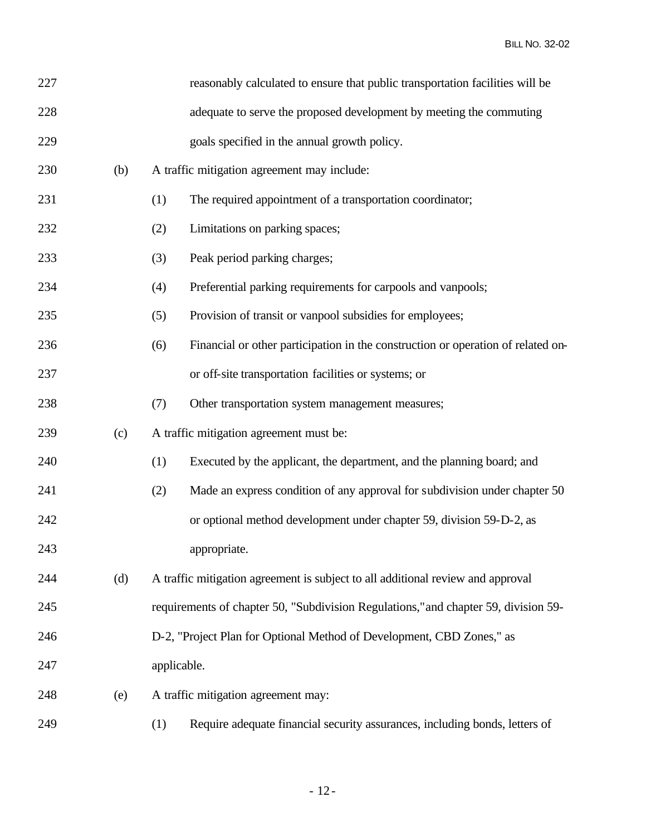| 227 |     |             | reasonably calculated to ensure that public transportation facilities will be       |
|-----|-----|-------------|-------------------------------------------------------------------------------------|
| 228 |     |             | adequate to serve the proposed development by meeting the commuting                 |
| 229 |     |             | goals specified in the annual growth policy.                                        |
| 230 | (b) |             | A traffic mitigation agreement may include:                                         |
| 231 |     | (1)         | The required appointment of a transportation coordinator;                           |
| 232 |     | (2)         | Limitations on parking spaces;                                                      |
| 233 |     | (3)         | Peak period parking charges;                                                        |
| 234 |     | (4)         | Preferential parking requirements for carpools and vanpools;                        |
| 235 |     | (5)         | Provision of transit or vanpool subsidies for employees;                            |
| 236 |     | (6)         | Financial or other participation in the construction or operation of related on-    |
| 237 |     |             | or off-site transportation facilities or systems; or                                |
| 238 |     | (7)         | Other transportation system management measures;                                    |
| 239 | (c) |             | A traffic mitigation agreement must be:                                             |
| 240 |     | (1)         | Executed by the applicant, the department, and the planning board; and              |
| 241 |     | (2)         | Made an express condition of any approval for subdivision under chapter 50          |
| 242 |     |             | or optional method development under chapter 59, division 59-D-2, as                |
| 243 |     |             | appropriate.                                                                        |
| 244 | (d) |             | A traffic mitigation agreement is subject to all additional review and approval     |
| 245 |     |             | requirements of chapter 50, "Subdivision Regulations," and chapter 59, division 59- |
| 246 |     |             | D-2, "Project Plan for Optional Method of Development, CBD Zones," as               |
| 247 |     | applicable. |                                                                                     |
| 248 | (e) |             | A traffic mitigation agreement may:                                                 |
| 249 |     | (1)         | Require adequate financial security assurances, including bonds, letters of         |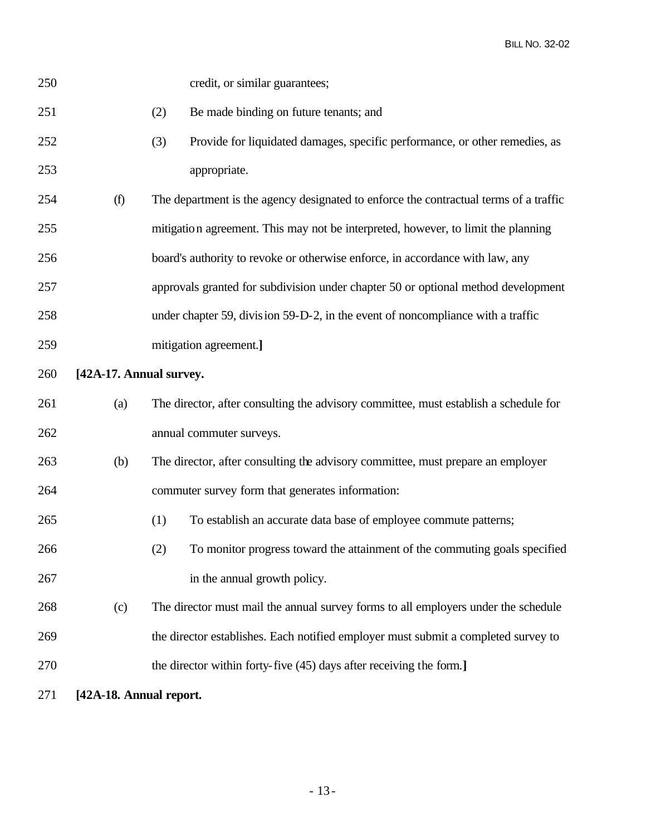| 250 |                         | credit, or similar guarantees;                                                        |
|-----|-------------------------|---------------------------------------------------------------------------------------|
| 251 |                         | Be made binding on future tenants; and<br>(2)                                         |
| 252 |                         | Provide for liquidated damages, specific performance, or other remedies, as<br>(3)    |
| 253 |                         | appropriate.                                                                          |
| 254 | (f)                     | The department is the agency designated to enforce the contractual terms of a traffic |
| 255 |                         | mitigation agreement. This may not be interpreted, however, to limit the planning     |
| 256 |                         | board's authority to revoke or otherwise enforce, in accordance with law, any         |
| 257 |                         | approvals granted for subdivision under chapter 50 or optional method development     |
| 258 |                         | under chapter 59, division 59-D-2, in the event of noncompliance with a traffic       |
| 259 |                         | mitigation agreement.]                                                                |
| 260 | [42A-17. Annual survey. |                                                                                       |
| 261 | (a)                     | The director, after consulting the advisory committee, must establish a schedule for  |
| 262 |                         | annual commuter surveys.                                                              |
| 263 | (b)                     | The director, after consulting the advisory committee, must prepare an employer       |
| 264 |                         | commuter survey form that generates information:                                      |
| 265 |                         | (1)<br>To establish an accurate data base of employee commute patterns;               |
| 266 |                         | To monitor progress toward the attainment of the commuting goals specified<br>(2)     |
| 267 |                         | in the annual growth policy.                                                          |
| 268 | (c)                     | The director must mail the annual survey forms to all employers under the schedule    |
| 269 |                         | the director establishes. Each notified employer must submit a completed survey to    |
| 270 |                         | the director within forty-five (45) days after receiving the form.]                   |
| 271 | [42A-18. Annual report. |                                                                                       |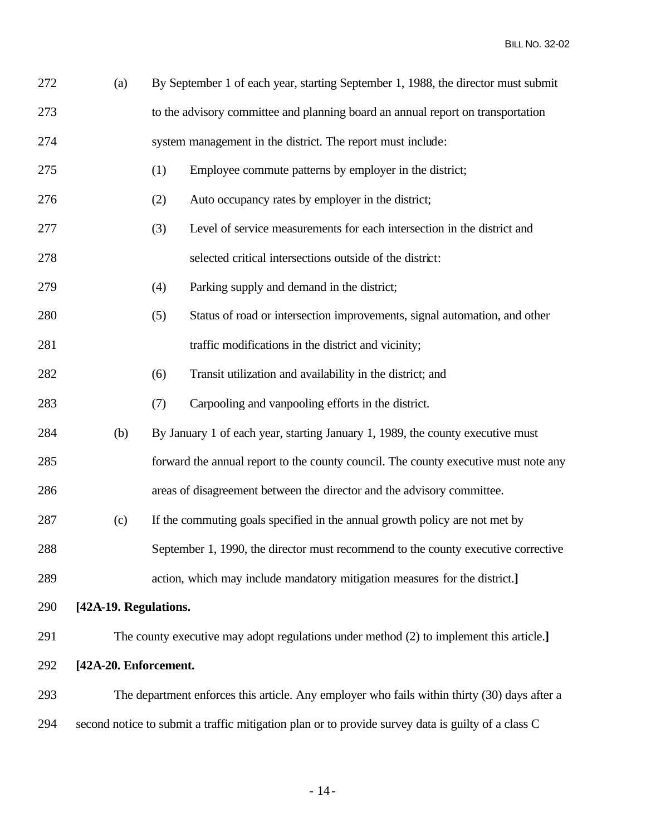| 272 | (a)                   | By September 1 of each year, starting September 1, 1988, the director must submit                  |
|-----|-----------------------|----------------------------------------------------------------------------------------------------|
| 273 |                       | to the advisory committee and planning board an annual report on transportation                    |
| 274 |                       | system management in the district. The report must include:                                        |
| 275 |                       | Employee commute patterns by employer in the district;<br>(1)                                      |
| 276 |                       | Auto occupancy rates by employer in the district;<br>(2)                                           |
| 277 |                       | Level of service measurements for each intersection in the district and<br>(3)                     |
| 278 |                       | selected critical intersections outside of the district:                                           |
| 279 |                       | Parking supply and demand in the district;<br>(4)                                                  |
| 280 |                       | Status of road or intersection improvements, signal automation, and other<br>(5)                   |
| 281 |                       | traffic modifications in the district and vicinity;                                                |
| 282 |                       | Transit utilization and availability in the district; and<br>(6)                                   |
| 283 |                       | Carpooling and vanpooling efforts in the district.<br>(7)                                          |
| 284 | (b)                   | By January 1 of each year, starting January 1, 1989, the county executive must                     |
| 285 |                       | forward the annual report to the county council. The county executive must note any                |
| 286 |                       | areas of disagreement between the director and the advisory committee.                             |
| 287 | (c)                   | If the commuting goals specified in the annual growth policy are not met by                        |
| 288 |                       | September 1, 1990, the director must recommend to the county executive corrective                  |
| 289 |                       | action, which may include mandatory mitigation measures for the district.]                         |
| 290 | [42A-19. Regulations. |                                                                                                    |
| 291 |                       | The county executive may adopt regulations under method (2) to implement this article.]            |
| 292 | [42A-20. Enforcement. |                                                                                                    |
| 293 |                       | The department enforces this article. Any employer who fails within thirty (30) days after a       |
| 294 |                       | second notice to submit a traffic mitigation plan or to provide survey data is guilty of a class C |
|     |                       |                                                                                                    |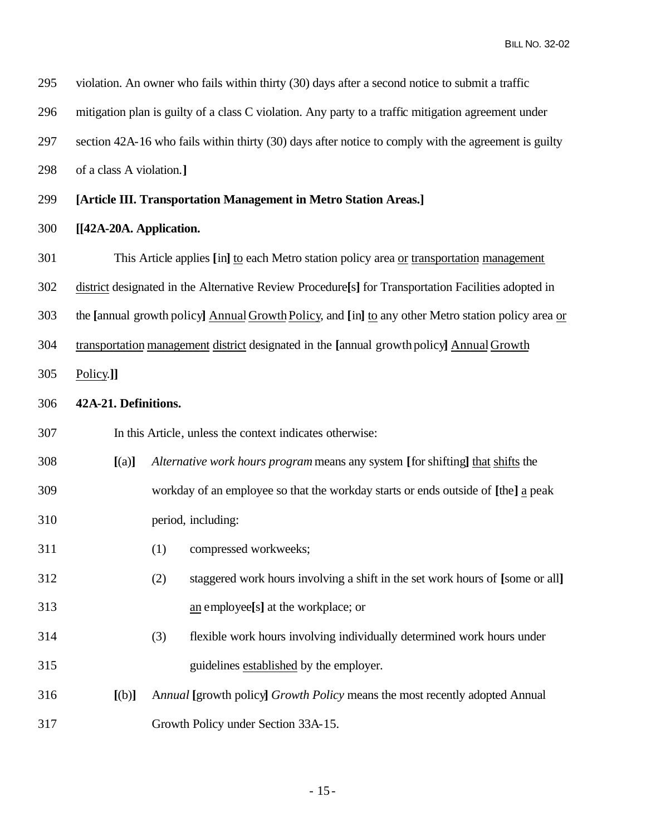| 295 |                                                                                                     | violation. An owner who fails within thirty (30) days after a second notice to submit a traffic                 |  |  |
|-----|-----------------------------------------------------------------------------------------------------|-----------------------------------------------------------------------------------------------------------------|--|--|
| 296 | mitigation plan is guilty of a class C violation. Any party to a traffic mitigation agreement under |                                                                                                                 |  |  |
| 297 |                                                                                                     | section 42A-16 who fails within thirty (30) days after notice to comply with the agreement is guilty            |  |  |
| 298 | of a class A violation.]                                                                            |                                                                                                                 |  |  |
| 299 |                                                                                                     | [Article III. Transportation Management in Metro Station Areas.]                                                |  |  |
| 300 | [[42A-20A. Application.                                                                             |                                                                                                                 |  |  |
| 301 |                                                                                                     | This Article applies [in] to each Metro station policy area or transportation management                        |  |  |
| 302 |                                                                                                     | district designated in the Alternative Review Procedure <sup>[5]</sup> for Transportation Facilities adopted in |  |  |
| 303 |                                                                                                     | the [annual growth policy] Annual Growth Policy, and [in] to any other Metro station policy area or             |  |  |
| 304 | transportation management district designated in the [annual growth policy] Annual Growth           |                                                                                                                 |  |  |
| 305 | Policy.]]                                                                                           |                                                                                                                 |  |  |
| 306 | 42A-21. Definitions.                                                                                |                                                                                                                 |  |  |
| 307 |                                                                                                     | In this Article, unless the context indicates otherwise:                                                        |  |  |
| 308 | [(a)]                                                                                               | Alternative work hours program means any system [for shifting] that shifts the                                  |  |  |
| 309 |                                                                                                     | workday of an employee so that the workday starts or ends outside of [the] a peak                               |  |  |
| 310 |                                                                                                     | period, including:                                                                                              |  |  |
| 311 |                                                                                                     | (1) compressed workweeks;                                                                                       |  |  |
| 312 |                                                                                                     | staggered work hours involving a shift in the set work hours of [some or all]<br>(2)                            |  |  |
| 313 |                                                                                                     | an employee[s] at the workplace; or                                                                             |  |  |
| 314 |                                                                                                     | (3)<br>flexible work hours involving individually determined work hours under                                   |  |  |
| 315 |                                                                                                     | guidelines established by the employer.                                                                         |  |  |
| 316 | [(b)]                                                                                               | Annual [growth policy] Growth Policy means the most recently adopted Annual                                     |  |  |
| 317 |                                                                                                     | Growth Policy under Section 33A-15.                                                                             |  |  |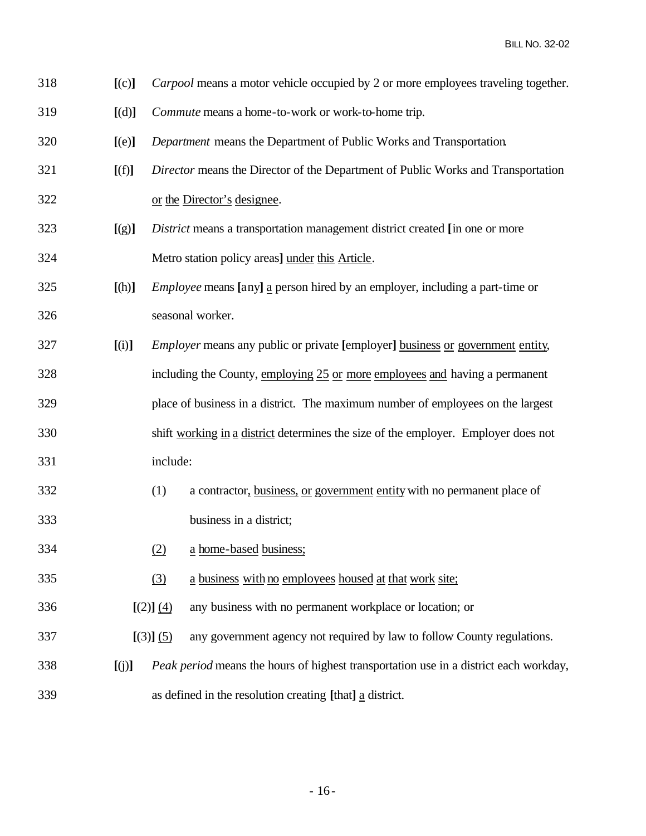| 318 |  |  |  | [(c)] <i>Carpool</i> means a motor vehicle occupied by 2 or more employees traveling together. |
|-----|--|--|--|------------------------------------------------------------------------------------------------|
|-----|--|--|--|------------------------------------------------------------------------------------------------|

- **[**(d)**]** *Commute* means a home-to-work or work-to-home trip.
- **[**(e)**]** *Department* means the Department of Public Works and Transportation.
- **[**(f)**]** *Director* means the Director of the Department of Public Works and Transportation
- or the Director's designee.
- **[**(g)**]** *District* means a transportation management district created **[**in one or more Metro station policy areas**]** under this Article.
- **[**(h)**]** *Employee* means **[**any**]** a person hired by an employer, including a part-time or seasonal worker.
- **[**(i)**]** *Employer* means any public or private **[**employer**]** business or government entity,
- including the County, employing 25 or more employees and having a permanent place of business in a district. The maximum number of employees on the largest shift working in a district determines the size of the employer. Employer does not include:
- (1) a contractor, business, or government entity with no permanent place of business in a district;
- (2) a home-based business;
- (3) a business with no employees housed at that work site;
- **[**(2)**]** (4) any business with no permanent workplace or location; or
- **[**(3)**]** (5) any government agency not required by law to follow County regulations.
- **[**(j)**]** *Peak period* means the hours of highest transportation use in a district each workday, as defined in the resolution creating **[**that**]** a district.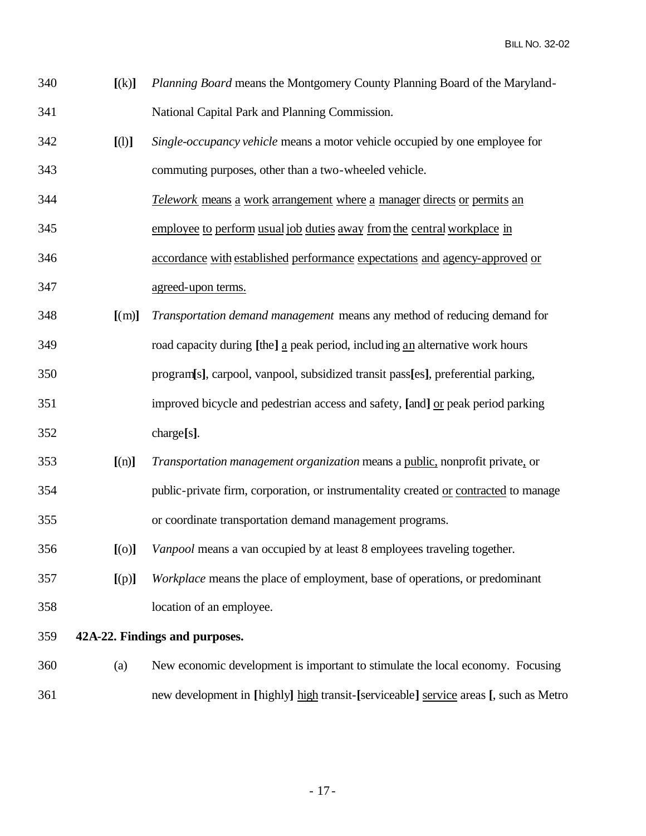| 340 | <i>Planning Board</i> means the Montgomery County Planning Board of the Maryland- |
|-----|-----------------------------------------------------------------------------------|
| 341 | National Capital Park and Planning Commission.                                    |

- **[**(l)**]** *Single-occupancy vehicle* means a motor vehicle occupied by one employee for commuting purposes, other than a two-wheeled vehicle.
- *Telework* means a work arrangement where a manager directs or permits an
- employee to perform usualjob duties away fromthe centralworkplace in
- accordance with established performance expectations and agency-approved or agreed-upon terms.
- **[**(m)**]** *Transportation demand management* means any method of reducing demand for road capacity during **[**the**]** a peak period, including an alternative work hours
- program**[**s**]**, carpool, vanpool, subsidized transit pass**[**es**]**, preferential parking,
- improved bicycle and pedestrian access and safety, **[**and**]** or peak period parking charge**[**s**]**.
- **[**(n)**]** *Transportation management organization* means a public, nonprofit private, or
- public-private firm, corporation, or instrumentality created or contracted to manage or coordinate transportation demand management programs.
- **[**(o)**]** *Vanpool* means a van occupied by at least 8 employees traveling together.
- **[**(p)**]** *Workplace* means the place of employment, base of operations, or predominant location of an employee.

## **42A-22. Findings and purposes.**

 (a) New economic development is important to stimulate the local economy. Focusing new development in **[**highly**]** high transit-**[**serviceable**]** service areas **[**, such as Metro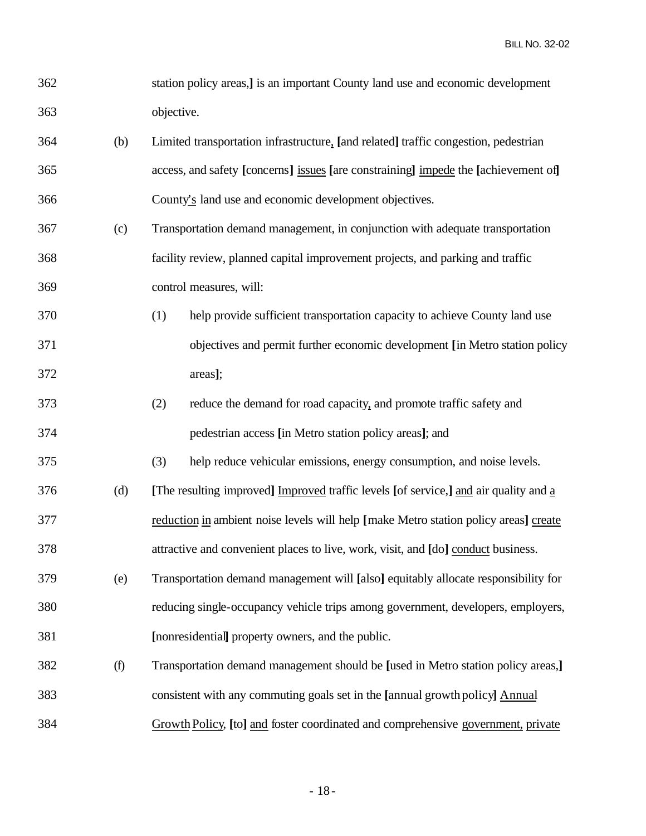| 362 |     | station policy areas, <i>j</i> is an important County land use and economic development |
|-----|-----|-----------------------------------------------------------------------------------------|
| 363 |     | objective.                                                                              |
| 364 | (b) | Limited transportation infrastructure, [and related] traffic congestion, pedestrian     |
| 365 |     | access, and safety [concerns] issues [are constraining] impede the [achievement of]     |
| 366 |     | County's land use and economic development objectives.                                  |
| 367 | (c) | Transportation demand management, in conjunction with adequate transportation           |
| 368 |     | facility review, planned capital improvement projects, and parking and traffic          |
| 369 |     | control measures, will:                                                                 |
| 370 |     | (1)<br>help provide sufficient transportation capacity to achieve County land use       |
| 371 |     | objectives and permit further economic development [in Metro station policy             |
| 372 |     | areas];                                                                                 |
| 373 |     | (2)<br>reduce the demand for road capacity, and promote traffic safety and              |
| 374 |     | pedestrian access [in Metro station policy areas]; and                                  |
| 375 |     | help reduce vehicular emissions, energy consumption, and noise levels.<br>(3)           |
| 376 | (d) | [The resulting improved] Improved traffic levels [of service,] and air quality and a    |
| 377 |     | reduction in ambient noise levels will help [make Metro station policy areas] create    |
| 378 |     | attractive and convenient places to live, work, visit, and [do] conduct business.       |
| 379 | (e) | Transportation demand management will [also] equitably allocate responsibility for      |
| 380 |     | reducing single-occupancy vehicle trips among government, developers, employers,        |
| 381 |     | [nonresidential] property owners, and the public.                                       |
| 382 | (f) | Transportation demand management should be [used in Metro station policy areas,]        |
| 383 |     | consistent with any commuting goals set in the [annual growth policy] Annual            |
| 384 |     | Growth Policy, [to] and foster coordinated and comprehensive government, private        |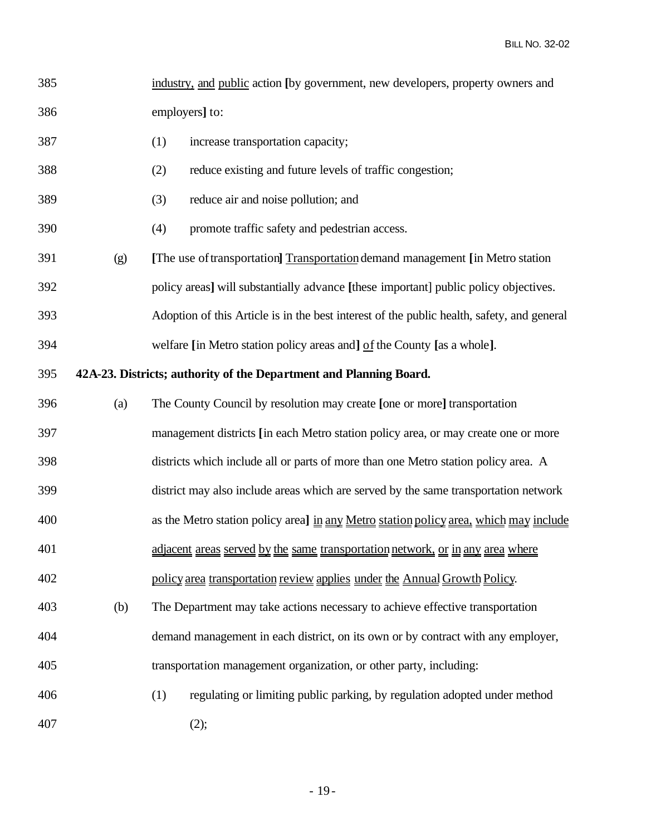| 385 |                                                                    | industry, and public action [by government, new developers, property owners and            |  |  |
|-----|--------------------------------------------------------------------|--------------------------------------------------------------------------------------------|--|--|
| 386 |                                                                    | employers] to:                                                                             |  |  |
| 387 |                                                                    | (1)<br>increase transportation capacity;                                                   |  |  |
| 388 |                                                                    | reduce existing and future levels of traffic congestion;<br>(2)                            |  |  |
| 389 |                                                                    | reduce air and noise pollution; and<br>(3)                                                 |  |  |
| 390 |                                                                    | promote traffic safety and pedestrian access.<br>(4)                                       |  |  |
| 391 | (g)                                                                | [The use of transportation] Transportation demand management [in Metro station]            |  |  |
| 392 |                                                                    | policy areas] will substantially advance [these important] public policy objectives.       |  |  |
| 393 |                                                                    | Adoption of this Article is in the best interest of the public health, safety, and general |  |  |
| 394 |                                                                    | welfare [in Metro station policy areas and] of the County [as a whole].                    |  |  |
| 395 | 42A-23. Districts; authority of the Department and Planning Board. |                                                                                            |  |  |
| 396 | (a)                                                                | The County Council by resolution may create [one or more] transportation                   |  |  |
| 397 |                                                                    | management districts [in each Metro station policy area, or may create one or more         |  |  |
| 398 |                                                                    | districts which include all or parts of more than one Metro station policy area. A         |  |  |
| 399 |                                                                    | district may also include areas which are served by the same transportation network        |  |  |
| 400 |                                                                    | as the Metro station policy area] in any Metro station policy area, which may include      |  |  |
| 401 |                                                                    | adjacent areas served by the same transportation network, or in any area where             |  |  |
| 402 |                                                                    | policy area transportation review applies under the Annual Growth Policy.                  |  |  |
| 403 | (b)                                                                | The Department may take actions necessary to achieve effective transportation              |  |  |
| 404 |                                                                    | demand management in each district, on its own or by contract with any employer,           |  |  |
| 405 |                                                                    | transportation management organization, or other party, including:                         |  |  |
| 406 |                                                                    | (1)<br>regulating or limiting public parking, by regulation adopted under method           |  |  |
| 407 |                                                                    | (2);                                                                                       |  |  |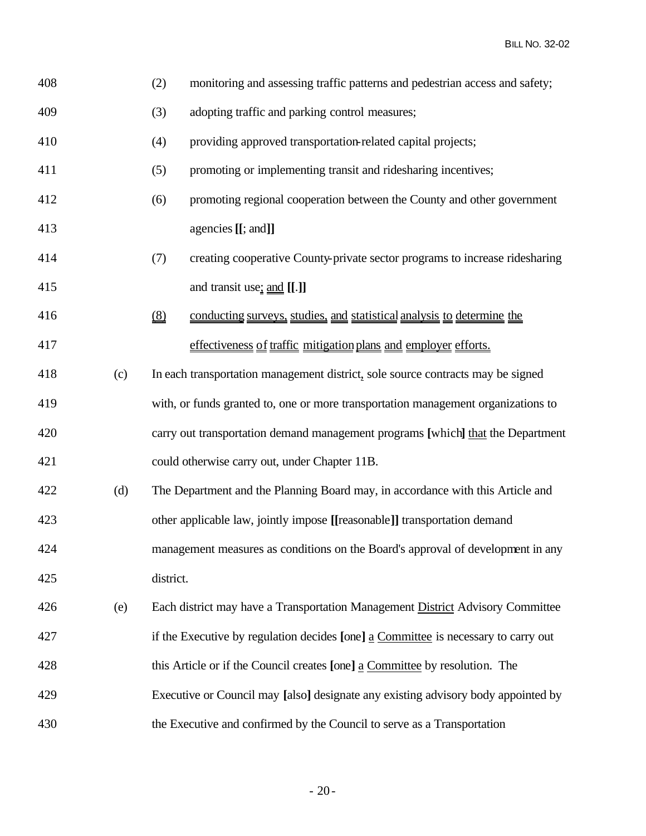| 408 |     | (2)                           | monitoring and assessing traffic patterns and pedestrian access and safety;        |
|-----|-----|-------------------------------|------------------------------------------------------------------------------------|
| 409 |     | (3)                           | adopting traffic and parking control measures;                                     |
| 410 |     | (4)                           | providing approved transportation-related capital projects;                        |
| 411 |     | (5)                           | promoting or implementing transit and ridesharing incentives;                      |
| 412 |     | (6)                           | promoting regional cooperation between the County and other government             |
| 413 |     |                               | agencies [[; and]]                                                                 |
| 414 |     | (7)                           | creating cooperative County-private sector programs to increase ridesharing        |
| 415 |     |                               | and transit use <sub>i</sub> and [[.]]                                             |
| 416 |     | $\underline{\underline{(8)}}$ | conducting surveys, studies, and statistical analysis to determine the             |
| 417 |     |                               | effectiveness of traffic mitigation plans and employer efforts.                    |
| 418 | (c) |                               | In each transportation management district, sole source contracts may be signed    |
| 419 |     |                               | with, or funds granted to, one or more transportation management organizations to  |
| 420 |     |                               | carry out transportation demand management programs [which] that the Department    |
| 421 |     |                               | could otherwise carry out, under Chapter 11B.                                      |
| 422 | (d) |                               | The Department and the Planning Board may, in accordance with this Article and     |
| 423 |     |                               | other applicable law, jointly impose [[reasonable]] transportation demand          |
| 424 |     |                               | management measures as conditions on the Board's approval of development in any    |
| 425 |     | district.                     |                                                                                    |
| 426 | (e) |                               | Each district may have a Transportation Management District Advisory Committee     |
| 427 |     |                               | if the Executive by regulation decides [one] a Committee is necessary to carry out |
| 428 |     |                               | this Article or if the Council creates [one] a Committee by resolution. The        |
| 429 |     |                               | Executive or Council may [also] designate any existing advisory body appointed by  |
| 430 |     |                               | the Executive and confirmed by the Council to serve as a Transportation            |

- 20-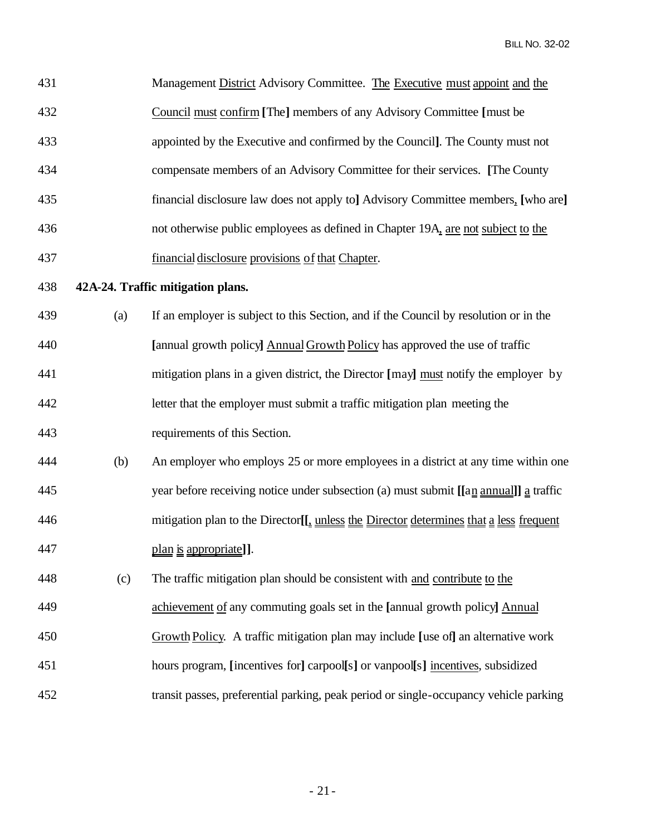| 431 |     | Management District Advisory Committee. The Executive must appoint and the                          |
|-----|-----|-----------------------------------------------------------------------------------------------------|
| 432 |     | Council must confirm [The] members of any Advisory Committee [must be                               |
| 433 |     | appointed by the Executive and confirmed by the Council]. The County must not                       |
| 434 |     | compensate members of an Advisory Committee for their services. [The County                         |
| 435 |     | financial disclosure law does not apply to] Advisory Committee members, [who are]                   |
| 436 |     | not otherwise public employees as defined in Chapter 19A, are not subject to the                    |
| 437 |     | financial disclosure provisions of that Chapter.                                                    |
| 438 |     | 42A-24. Traffic mitigation plans.                                                                   |
| 439 | (a) | If an employer is subject to this Section, and if the Council by resolution or in the               |
| 440 |     | [annual growth policy] Annual Growth Policy has approved the use of traffic                         |
| 441 |     | mitigation plans in a given district, the Director [may] must notify the employer by                |
| 442 |     | letter that the employer must submit a traffic mitigation plan meeting the                          |
| 443 |     | requirements of this Section.                                                                       |
| 444 | (b) | An employer who employs 25 or more employees in a district at any time within one                   |
| 445 |     | year before receiving notice under subsection (a) must submit [[an annual]] a traffic               |
| 446 |     | mitigation plan to the Director <sup>[[4]</sup> unless the Director determines that a less frequent |
| 447 |     | plan is appropriate]].                                                                              |
| 448 | (c) | The traffic mitigation plan should be consistent with and contribute to the                         |
| 449 |     | achievement of any commuting goals set in the [annual growth policy] Annual                         |
| 450 |     | Growth Policy. A traffic mitigation plan may include [use of] an alternative work                   |
| 451 |     | hours program, [incentives for] carpool[s] or vanpool[s] incentives, subsidized                     |
| 452 |     | transit passes, preferential parking, peak period or single-occupancy vehicle parking               |

- 21-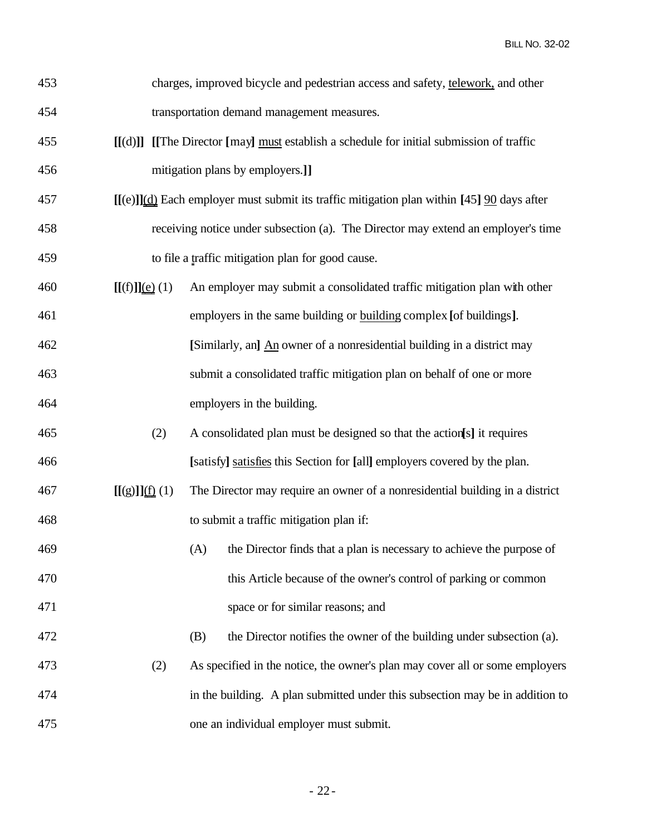| 453 |                    | charges, improved bicycle and pedestrian access and safety, telework, and other                          |
|-----|--------------------|----------------------------------------------------------------------------------------------------------|
| 454 |                    | transportation demand management measures.                                                               |
| 455 |                    | $[[(d)]]$ [[The Director [may] must establish a schedule for initial submission of traffic               |
| 456 |                    | mitigation plans by employers.]                                                                          |
| 457 |                    | $[(e)]$ (d) Each employer must submit its traffic mitigation plan within [45] $\frac{90}{20}$ days after |
| 458 |                    | receiving notice under subsection (a). The Director may extend an employer's time                        |
| 459 |                    | to file a traffic mitigation plan for good cause.                                                        |
| 460 | $[[(f)]](e)$ (1)   | An employer may submit a consolidated traffic mitigation plan with other                                 |
| 461 |                    | employers in the same building or building complex [of buildings].                                       |
| 462 |                    | [Similarly, an] An owner of a nonresidential building in a district may                                  |
| 463 |                    | submit a consolidated traffic mitigation plan on behalf of one or more                                   |
| 464 |                    | employers in the building.                                                                               |
| 465 | (2)                | A consolidated plan must be designed so that the action[s] it requires                                   |
| 466 |                    | [satisfy] satisfies this Section for [all] employers covered by the plan.                                |
| 467 | $[[(g)]]_{(f)}(1)$ | The Director may require an owner of a nonresidential building in a district                             |
| 468 |                    | to submit a traffic mitigation plan if:                                                                  |
| 469 |                    | (A) the Director finds that a plan is necessary to achieve the purpose of                                |
| 470 |                    | this Article because of the owner's control of parking or common                                         |
| 471 |                    | space or for similar reasons; and                                                                        |
| 472 |                    | the Director notifies the owner of the building under subsection (a).<br>(B)                             |
| 473 | (2)                | As specified in the notice, the owner's plan may cover all or some employers                             |
| 474 |                    | in the building. A plan submitted under this subsection may be in addition to                            |
| 475 |                    | one an individual employer must submit.                                                                  |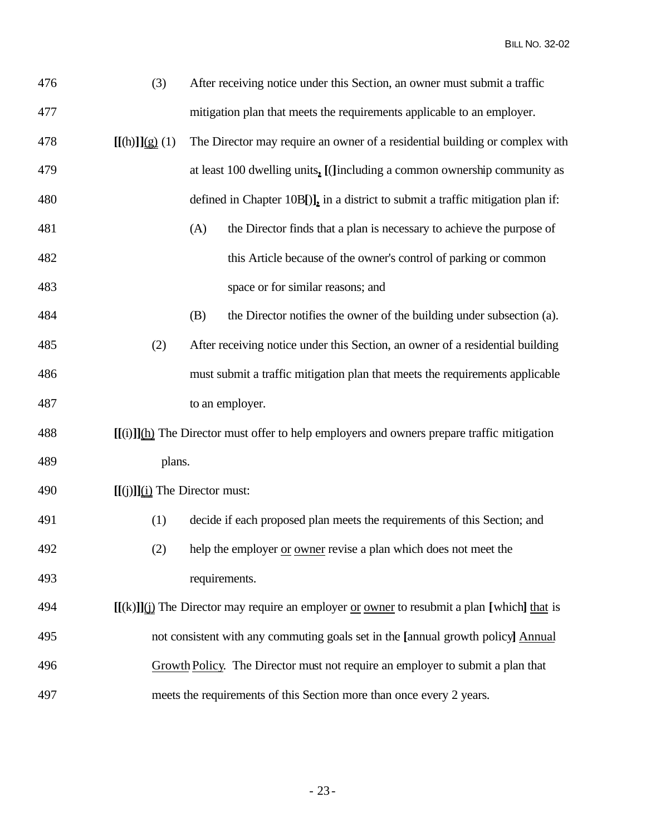| 476 | (3)                             | After receiving notice under this Section, an owner must submit a traffic                                |
|-----|---------------------------------|----------------------------------------------------------------------------------------------------------|
| 477 |                                 | mitigation plan that meets the requirements applicable to an employer.                                   |
| 478 | $[(\text{h})]_{\{g\}}(1)$       | The Director may require an owner of a residential building or complex with                              |
| 479 |                                 | at least 100 dwelling units, [(Jincluding a common ownership community as                                |
| 480 |                                 | defined in Chapter 10B[)], in a district to submit a traffic mitigation plan if:                         |
| 481 |                                 | the Director finds that a plan is necessary to achieve the purpose of<br>(A)                             |
| 482 |                                 | this Article because of the owner's control of parking or common                                         |
| 483 |                                 | space or for similar reasons; and                                                                        |
| 484 |                                 | the Director notifies the owner of the building under subsection (a).<br>(B)                             |
| 485 | (2)                             | After receiving notice under this Section, an owner of a residential building                            |
| 486 |                                 | must submit a traffic mitigation plan that meets the requirements applicable                             |
| 487 |                                 | to an employer.                                                                                          |
| 488 |                                 | $[[(i)]](\underline{h})$ The Director must offer to help employers and owners prepare traffic mitigation |
| 489 | plans.                          |                                                                                                          |
| 490 | $[[(j)]](i)$ The Director must: |                                                                                                          |
| 491 | (1)                             | decide if each proposed plan meets the requirements of this Section; and                                 |
| 492 | (2)                             | help the employer or owner revise a plan which does not meet the                                         |
| 493 |                                 | requirements.                                                                                            |
| 494 |                                 | $[[(k)]](i)$ The Director may require an employer or owner to resubmit a plan [which] that is            |
| 495 |                                 | not consistent with any commuting goals set in the [annual growth policy] Annual                         |
| 496 |                                 | Growth Policy. The Director must not require an employer to submit a plan that                           |
| 497 |                                 | meets the requirements of this Section more than once every 2 years.                                     |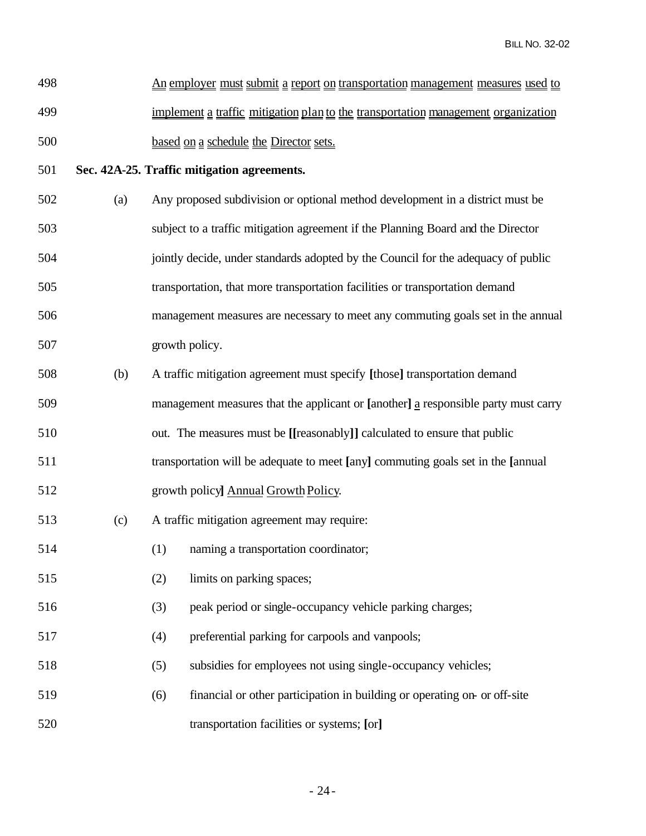| 498 | <u>An employer must submit a report on transportation management measures used to</u> |
|-----|---------------------------------------------------------------------------------------|
| 499 | implement a traffic mitigation plan to the transportation management organization     |
| 500 | based on a schedule the Director sets.                                                |

### **Sec. 42A-25. Traffic mitigation agreements.**

- (a) Any proposed subdivision or optional method development in a district must be subject to a traffic mitigation agreement if the Planning Board and the Director jointly decide, under standards adopted by the Council for the adequacy of public transportation, that more transportation facilities or transportation demand management measures are necessary to meet any commuting goals set in the annual growth policy.
- (b) A traffic mitigation agreement must specify **[**those**]** transportation demand
- management measures that the applicant or **[**another**]** a responsible party must carry
- out. The measures must be **[[**reasonably**]]** calculated to ensure that public
- transportation will be adequate to meet **[**any**]** commuting goals set in the **[**annual
- 512 growth policy**]** Annual Growth Policy.
- (c) A traffic mitigation agreement may require:
- (1) naming a transportation coordinator;
- (2) limits on parking spaces;
- (3) peak period or single-occupancy vehicle parking charges;
- (4) preferential parking for carpools and vanpools;
- (5) subsidies for employees not using single-occupancy vehicles;
- (6) financial or other participation in building or operating on- or off-site transportation facilities or systems; **[**or**]**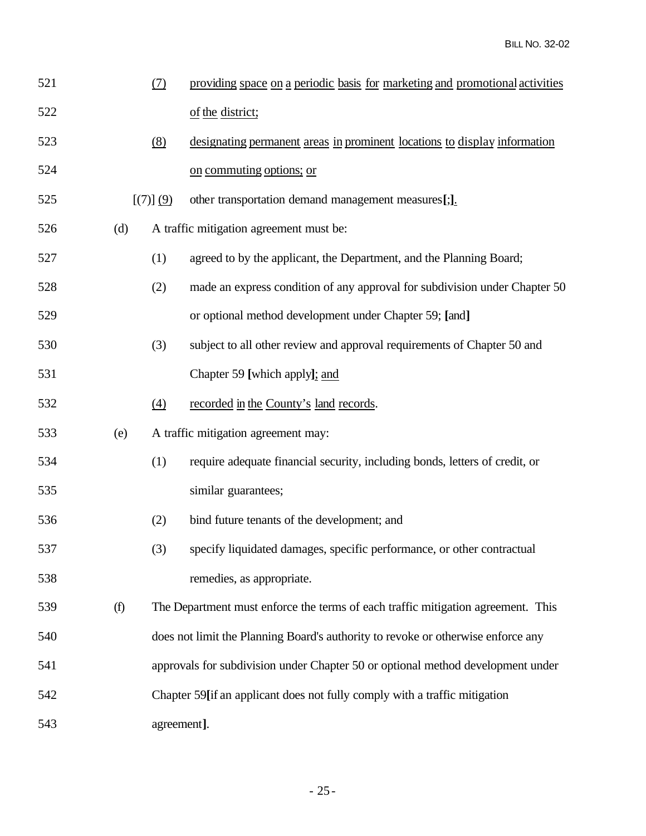| 521 |     | (7)               | providing space on a periodic basis for marketing and promotional activities     |
|-----|-----|-------------------|----------------------------------------------------------------------------------|
| 522 |     |                   | of the district;                                                                 |
| 523 |     | (8)               | designating permanent areas in prominent locations to display information        |
| 524 |     |                   | on commuting options; or                                                         |
| 525 |     | [(7)] (9)         | other transportation demand management measures[;].                              |
| 526 | (d) |                   | A traffic mitigation agreement must be:                                          |
| 527 |     | (1)               | agreed to by the applicant, the Department, and the Planning Board;              |
| 528 |     | (2)               | made an express condition of any approval for subdivision under Chapter 50       |
| 529 |     |                   | or optional method development under Chapter 59; [and]                           |
| 530 |     | (3)               | subject to all other review and approval requirements of Chapter 50 and          |
| 531 |     |                   | Chapter 59 [which apply]; and                                                    |
| 532 |     | $\underline{(4)}$ | recorded in the County's land records.                                           |
| 533 | (e) |                   | A traffic mitigation agreement may:                                              |
| 534 |     | (1)               | require adequate financial security, including bonds, letters of credit, or      |
| 535 |     |                   | similar guarantees;                                                              |
| 536 |     | (2)               | bind future tenants of the development; and                                      |
| 537 |     | (3)               | specify liquidated damages, specific performance, or other contractual           |
| 538 |     |                   | remedies, as appropriate.                                                        |
| 539 | (f) |                   | The Department must enforce the terms of each traffic mitigation agreement. This |
| 540 |     |                   | does not limit the Planning Board's authority to revoke or otherwise enforce any |
| 541 |     |                   | approvals for subdivision under Chapter 50 or optional method development under  |
| 542 |     |                   | Chapter 59[if an applicant does not fully comply with a traffic mitigation       |
| 543 |     | agreement].       |                                                                                  |
|     |     |                   |                                                                                  |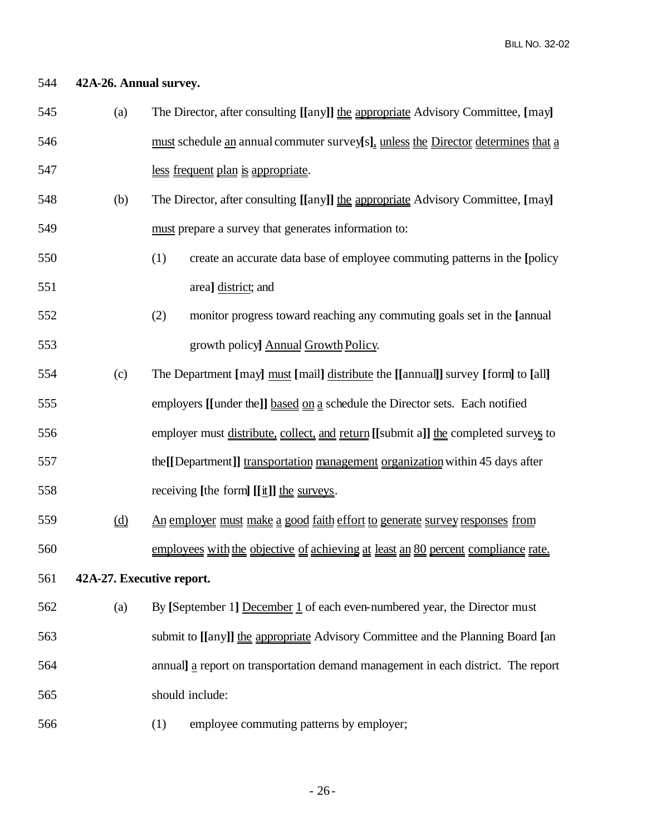### **42A-26. Annual survey.**

- (a) The Director, after consulting **[[**any**]]** the appropriate Advisory Committee, **[**may**]** must schedule an annual commuter survey**[**s**]**, unless the Director determines that a less frequent plan is appropriate.
- (b) The Director, after consulting **[[**any**]]** the appropriate Advisory Committee, **[**may**]** must prepare a survey that generates information to:
- (1) create an accurate data base of employee commuting patterns in the **[**policy area**]** district; and
- (2) monitor progress toward reaching any commuting goals set in the **[**annual 553 growth policy Annual Growth Policy.
- (c) The Department **[**may**]** must **[**mail**]** distribute the **[[**annual**]]** survey **[**form**]** to **[**all**]**
- employers **[[**under the**]]** based on a schedule the Director sets. Each notified
- employer must distribute, collect, and return **[[**submit a**]]** the completed surveys to
- the**[[**Department**]]** transportation management organizationwithin 45 days after receiving **[**the form**] [[**it**]]** the surveys.
- (d) An employer must make a good faith effort to generate survey responses from
- employees with the objective of achieving at least an 80 percent compliance rate.

## **42A-27. Executive report.**

- (a) By **[**September 1**]** December 1 of each even-numbered year, the Director must submit to **[[**any**]]** the appropriate Advisory Committee and the Planning Board **[**an annual**]** a report on transportation demand management in each district. The report should include:
- (1) employee commuting patterns by employer;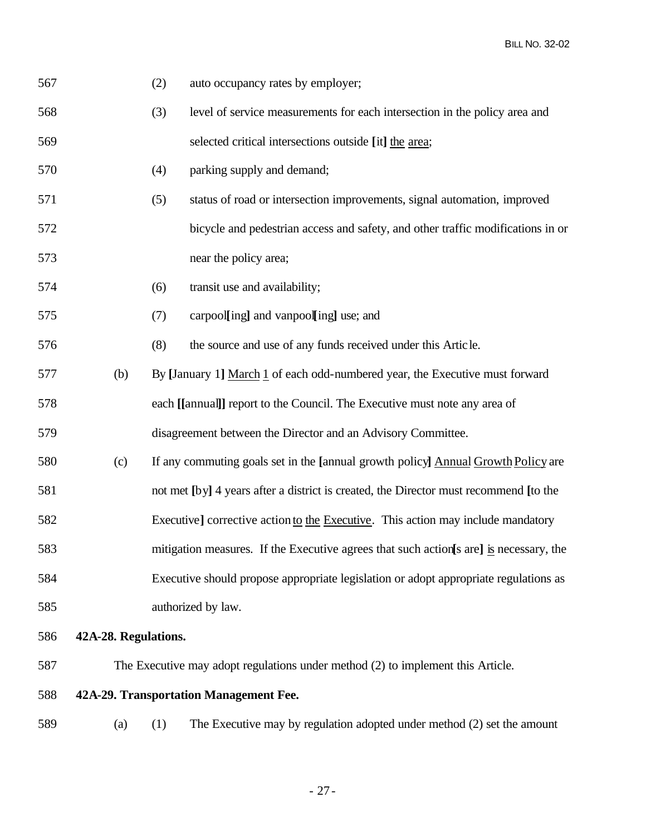| 567 |                                                                                 | (2) | auto occupancy rates by employer;                                                       |  |
|-----|---------------------------------------------------------------------------------|-----|-----------------------------------------------------------------------------------------|--|
| 568 |                                                                                 | (3) | level of service measurements for each intersection in the policy area and              |  |
| 569 |                                                                                 |     | selected critical intersections outside [it] the area;                                  |  |
| 570 |                                                                                 | (4) | parking supply and demand;                                                              |  |
| 571 |                                                                                 | (5) | status of road or intersection improvements, signal automation, improved                |  |
| 572 |                                                                                 |     | bicycle and pedestrian access and safety, and other traffic modifications in or         |  |
| 573 |                                                                                 |     | near the policy area;                                                                   |  |
| 574 |                                                                                 | (6) | transit use and availability;                                                           |  |
| 575 |                                                                                 | (7) | carpool[ing] and vanpool[ing] use; and                                                  |  |
| 576 |                                                                                 | (8) | the source and use of any funds received under this Article.                            |  |
| 577 | (b)                                                                             |     | By [January 1] March 1 of each odd-numbered year, the Executive must forward            |  |
| 578 |                                                                                 |     | each [[annual]] report to the Council. The Executive must note any area of              |  |
| 579 |                                                                                 |     | disagreement between the Director and an Advisory Committee.                            |  |
| 580 | (c)                                                                             |     | If any commuting goals set in the [annual growth policy] Annual Growth Policy are       |  |
| 581 |                                                                                 |     | not met [by] 4 years after a district is created, the Director must recommend [to the   |  |
| 582 |                                                                                 |     | Executive] corrective action to the Executive. This action may include mandatory        |  |
| 583 |                                                                                 |     | mitigation measures. If the Executive agrees that such action [s are] is necessary, the |  |
| 584 |                                                                                 |     | Executive should propose appropriate legislation or adopt appropriate regulations as    |  |
| 585 |                                                                                 |     | authorized by law.                                                                      |  |
| 586 | 42A-28. Regulations.                                                            |     |                                                                                         |  |
| 587 | The Executive may adopt regulations under method (2) to implement this Article. |     |                                                                                         |  |
| 588 | 42A-29. Transportation Management Fee.                                          |     |                                                                                         |  |

(a) (1) The Executive may by regulation adopted under method (2) set the amount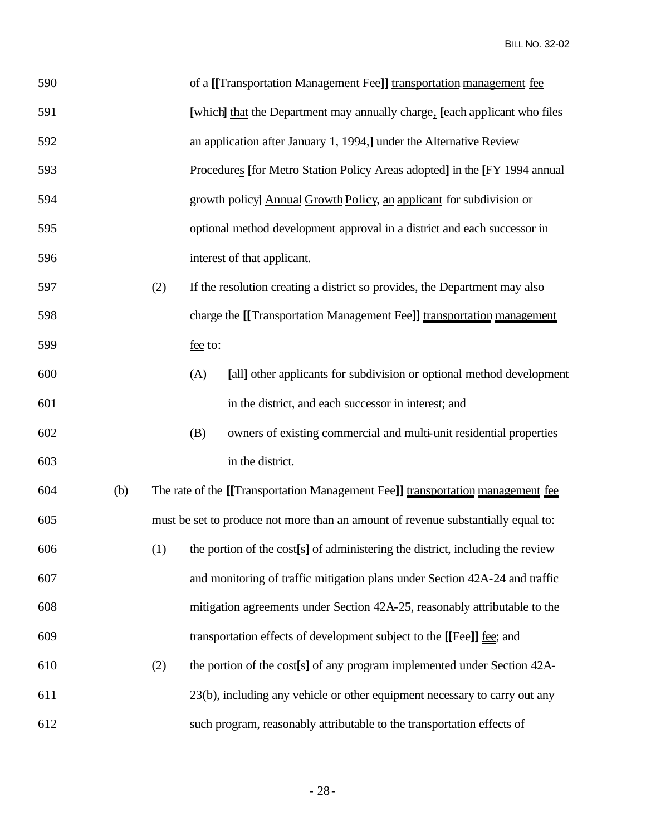| 590 |     |     | of a [[Transportation Management Fee]] transportation management fee                 |
|-----|-----|-----|--------------------------------------------------------------------------------------|
| 591 |     |     | [which] that the Department may annually charge, [each applicant who files           |
| 592 |     |     | an application after January 1, 1994, Junder the Alternative Review                  |
| 593 |     |     | Procedures [for Metro Station Policy Areas adopted] in the [FY 1994 annual           |
| 594 |     |     | growth policy] Annual Growth Policy, an applicant for subdivision or                 |
| 595 |     |     | optional method development approval in a district and each successor in             |
| 596 |     |     | interest of that applicant.                                                          |
| 597 |     | (2) | If the resolution creating a district so provides, the Department may also           |
| 598 |     |     | charge the [[Transportation Management Fee]] transportation management               |
| 599 |     |     | fee to:                                                                              |
| 600 |     |     | (A)<br>[all] other applicants for subdivision or optional method development         |
| 601 |     |     | in the district, and each successor in interest; and                                 |
| 602 |     |     | owners of existing commercial and multi-unit residential properties<br>(B)           |
| 603 |     |     | in the district.                                                                     |
| 604 | (b) |     | The rate of the [[Transportation Management Fee]] transportation management fee      |
| 605 |     |     | must be set to produce not more than an amount of revenue substantially equal to:    |
| 606 |     |     | $(1)$ the portion of the cost[s] of administering the district, including the review |
| 607 |     |     | and monitoring of traffic mitigation plans under Section 42A-24 and traffic          |
| 608 |     |     | mitigation agreements under Section 42A-25, reasonably attributable to the           |
| 609 |     |     | transportation effects of development subject to the [[Fee]] fee; and                |
| 610 |     | (2) | the portion of the cost[s] of any program implemented under Section 42A-             |
| 611 |     |     | 23(b), including any vehicle or other equipment necessary to carry out any           |
| 612 |     |     | such program, reasonably attributable to the transportation effects of               |
|     |     |     |                                                                                      |

- 28-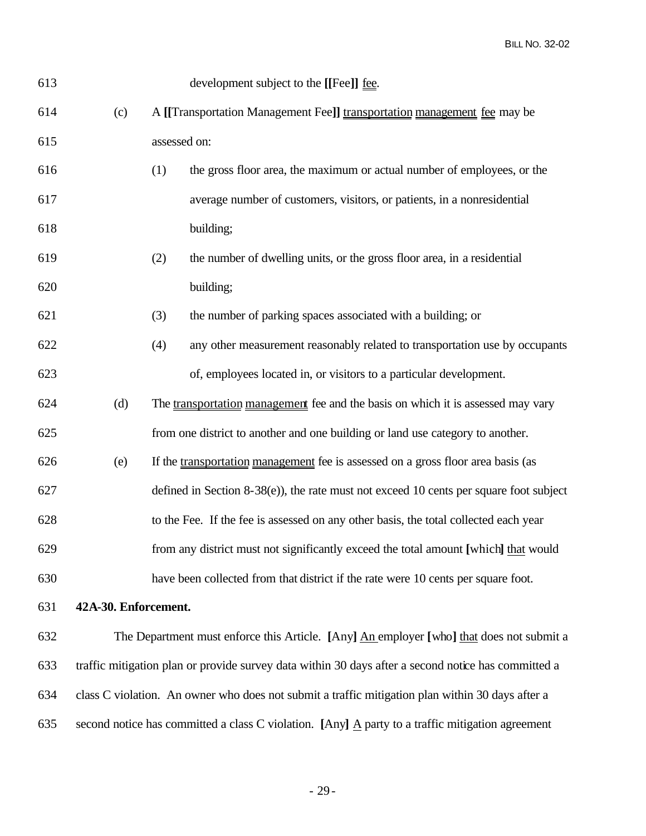| 613 |                                                                                                                |                                                                          | development subject to the [[Fee]] fee.                                                             |
|-----|----------------------------------------------------------------------------------------------------------------|--------------------------------------------------------------------------|-----------------------------------------------------------------------------------------------------|
| 614 | (c)                                                                                                            | A [[Transportation Management Fee]] transportation management fee may be |                                                                                                     |
| 615 |                                                                                                                | assessed on:                                                             |                                                                                                     |
| 616 |                                                                                                                | (1)                                                                      | the gross floor area, the maximum or actual number of employees, or the                             |
| 617 |                                                                                                                |                                                                          | average number of customers, visitors, or patients, in a nonresidential                             |
| 618 |                                                                                                                |                                                                          | building;                                                                                           |
| 619 |                                                                                                                | (2)                                                                      | the number of dwelling units, or the gross floor area, in a residential                             |
| 620 |                                                                                                                |                                                                          | building;                                                                                           |
| 621 |                                                                                                                | (3)                                                                      | the number of parking spaces associated with a building; or                                         |
| 622 |                                                                                                                | (4)                                                                      | any other measurement reasonably related to transportation use by occupants                         |
| 623 |                                                                                                                |                                                                          | of, employees located in, or visitors to a particular development.                                  |
| 624 | (d)                                                                                                            |                                                                          | The transportation management fee and the basis on which it is assessed may vary                    |
| 625 |                                                                                                                |                                                                          | from one district to another and one building or land use category to another.                      |
| 626 | (e)                                                                                                            |                                                                          | If the transportation management fee is assessed on a gross floor area basis (as                    |
| 627 |                                                                                                                |                                                                          | defined in Section 8-38(e)), the rate must not exceed 10 cents per square foot subject              |
| 628 |                                                                                                                |                                                                          | to the Fee. If the fee is assessed on any other basis, the total collected each year                |
| 629 |                                                                                                                |                                                                          | from any district must not significantly exceed the total amount [which] that would                 |
| 630 |                                                                                                                |                                                                          | have been collected from that district if the rate were 10 cents per square foot.                   |
| 631 | 42A-30. Enforcement.                                                                                           |                                                                          |                                                                                                     |
| 632 |                                                                                                                |                                                                          | The Department must enforce this Article. [Any] An employer [who] that does not submit a            |
| 633 |                                                                                                                |                                                                          | traffic mitigation plan or provide survey data within 30 days after a second notice has committed a |
| 634 |                                                                                                                |                                                                          | class C violation. An owner who does not submit a traffic mitigation plan within 30 days after a    |
| 635 | second notice has committed a class C violation. [Any] $\underline{A}$ party to a traffic mitigation agreement |                                                                          |                                                                                                     |